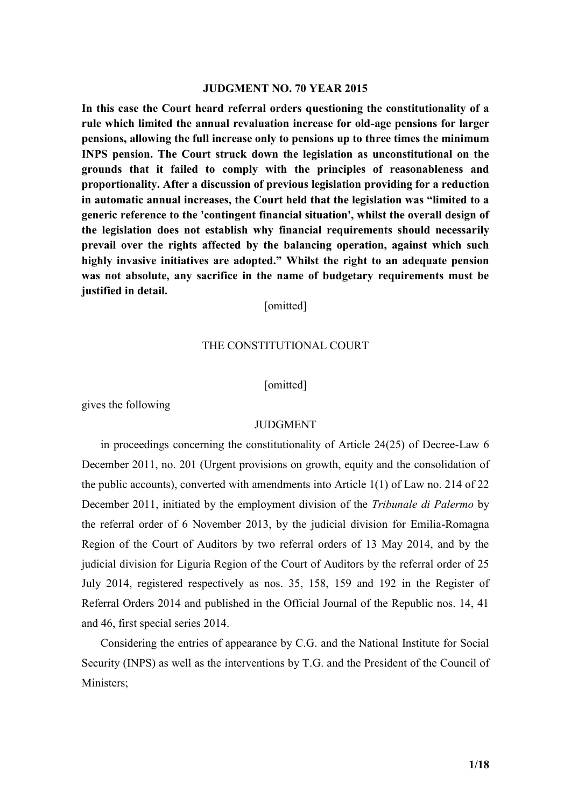#### **JUDGMENT NO. 70 YEAR 2015**

**In this case the Court heard referral orders questioning the constitutionality of a rule which limited the annual revaluation increase for old-age pensions for larger pensions, allowing the full increase only to pensions up to three times the minimum INPS pension. The Court struck down the legislation as unconstitutional on the grounds that it failed to comply with the principles of reasonableness and proportionality. After a discussion of previous legislation providing for a reduction in automatic annual increases, the Court held that the legislation was "limited to a generic reference to the 'contingent financial situation', whilst the overall design of the legislation does not establish why financial requirements should necessarily prevail over the rights affected by the balancing operation, against which such highly invasive initiatives are adopted." Whilst the right to an adequate pension was not absolute, any sacrifice in the name of budgetary requirements must be justified in detail.**

[omitted]

### THE CONSTITUTIONAL COURT

#### [omitted]

gives the following

## **JUDGMENT**

in proceedings concerning the constitutionality of Article 24(25) of Decree-Law 6 December 2011, no. 201 (Urgent provisions on growth, equity and the consolidation of the public accounts), converted with amendments into Article 1(1) of Law no. 214 of 22 December 2011, initiated by the employment division of the *Tribunale di Palermo* by the referral order of 6 November 2013, by the judicial division for Emilia-Romagna Region of the Court of Auditors by two referral orders of 13 May 2014, and by the judicial division for Liguria Region of the Court of Auditors by the referral order of 25 July 2014, registered respectively as nos. 35, 158, 159 and 192 in the Register of Referral Orders 2014 and published in the Official Journal of the Republic nos. 14, 41 and 46, first special series 2014.

Considering the entries of appearance by C.G. and the National Institute for Social Security (INPS) as well as the interventions by T.G. and the President of the Council of Ministers;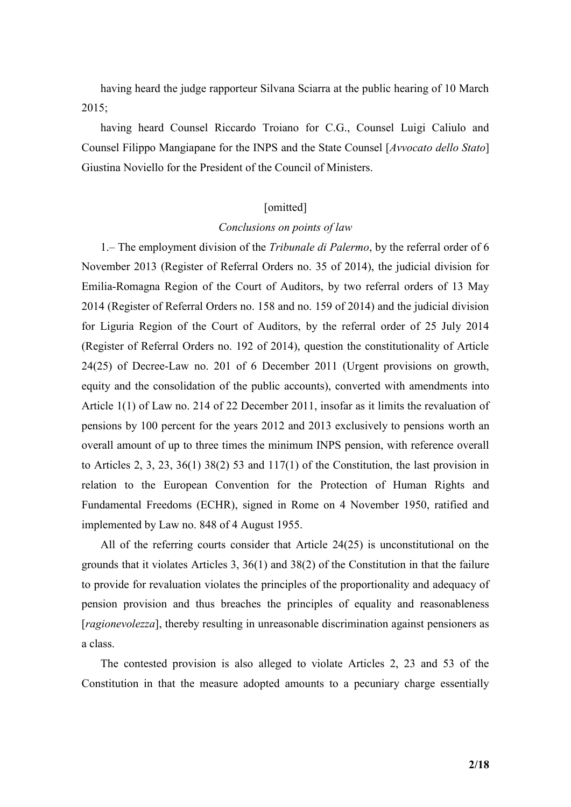having heard the judge rapporteur Silvana Sciarra at the public hearing of 10 March 2015;

having heard Counsel Riccardo Troiano for C.G., Counsel Luigi Caliulo and Counsel Filippo Mangiapane for the INPS and the State Counsel [*Avvocato dello Stato*] Giustina Noviello for the President of the Council of Ministers.

## [omitted]

#### *Conclusions on points of law*

1.– The employment division of the *Tribunale di Palermo*, by the referral order of 6 November 2013 (Register of Referral Orders no. 35 of 2014), the judicial division for Emilia-Romagna Region of the Court of Auditors, by two referral orders of 13 May 2014 (Register of Referral Orders no. 158 and no. 159 of 2014) and the judicial division for Liguria Region of the Court of Auditors, by the referral order of 25 July 2014 (Register of Referral Orders no. 192 of 2014), question the constitutionality of Article 24(25) of Decree-Law no. 201 of 6 December 2011 (Urgent provisions on growth, equity and the consolidation of the public accounts), converted with amendments into Article 1(1) of Law no. 214 of 22 December 2011, insofar as it limits the revaluation of pensions by 100 percent for the years 2012 and 2013 exclusively to pensions worth an overall amount of up to three times the minimum INPS pension, with reference overall to Articles 2, 3, 23, 36(1) 38(2) 53 and 117(1) of the Constitution, the last provision in relation to the European Convention for the Protection of Human Rights and Fundamental Freedoms (ECHR), signed in Rome on 4 November 1950, ratified and implemented by Law no. 848 of 4 August 1955.

All of the referring courts consider that Article 24(25) is unconstitutional on the grounds that it violates Articles 3, 36(1) and 38(2) of the Constitution in that the failure to provide for revaluation violates the principles of the proportionality and adequacy of pension provision and thus breaches the principles of equality and reasonableness [*ragionevolezza*], thereby resulting in unreasonable discrimination against pensioners as a class.

The contested provision is also alleged to violate Articles 2, 23 and 53 of the Constitution in that the measure adopted amounts to a pecuniary charge essentially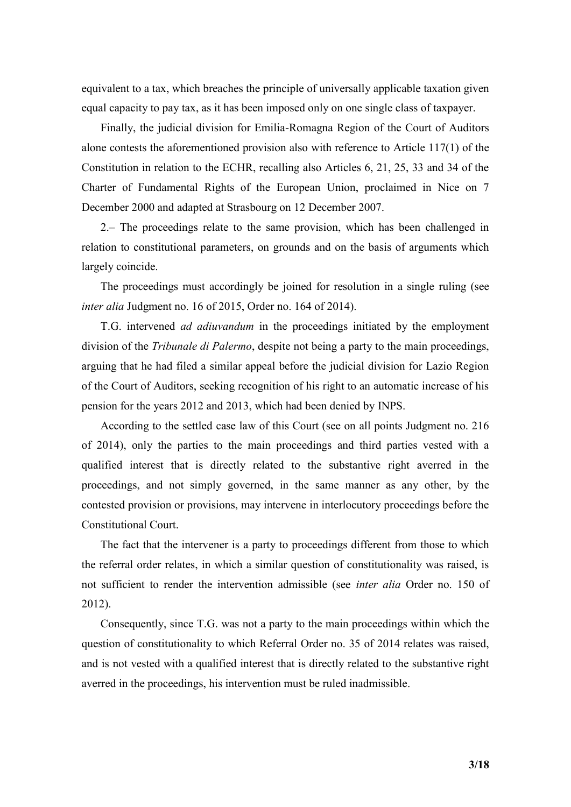equivalent to a tax, which breaches the principle of universally applicable taxation given equal capacity to pay tax, as it has been imposed only on one single class of taxpayer.

Finally, the judicial division for Emilia-Romagna Region of the Court of Auditors alone contests the aforementioned provision also with reference to Article 117(1) of the Constitution in relation to the ECHR, recalling also Articles 6, 21, 25, 33 and 34 of the Charter of Fundamental Rights of the European Union, proclaimed in Nice on 7 December 2000 and adapted at Strasbourg on 12 December 2007.

2.– The proceedings relate to the same provision, which has been challenged in relation to constitutional parameters, on grounds and on the basis of arguments which largely coincide.

The proceedings must accordingly be joined for resolution in a single ruling (see *inter alia* Judgment no. 16 of 2015, Order no. 164 of 2014).

T.G. intervened *ad adiuvandum* in the proceedings initiated by the employment division of the *Tribunale di Palermo*, despite not being a party to the main proceedings, arguing that he had filed a similar appeal before the judicial division for Lazio Region of the Court of Auditors, seeking recognition of his right to an automatic increase of his pension for the years 2012 and 2013, which had been denied by INPS.

According to the settled case law of this Court (see on all points Judgment no. 216 of 2014), only the parties to the main proceedings and third parties vested with a qualified interest that is directly related to the substantive right averred in the proceedings, and not simply governed, in the same manner as any other, by the contested provision or provisions, may intervene in interlocutory proceedings before the Constitutional Court.

The fact that the intervener is a party to proceedings different from those to which the referral order relates, in which a similar question of constitutionality was raised, is not sufficient to render the intervention admissible (see *inter alia* Order no. 150 of 2012).

Consequently, since T.G. was not a party to the main proceedings within which the question of constitutionality to which Referral Order no. 35 of 2014 relates was raised, and is not vested with a qualified interest that is directly related to the substantive right averred in the proceedings, his intervention must be ruled inadmissible.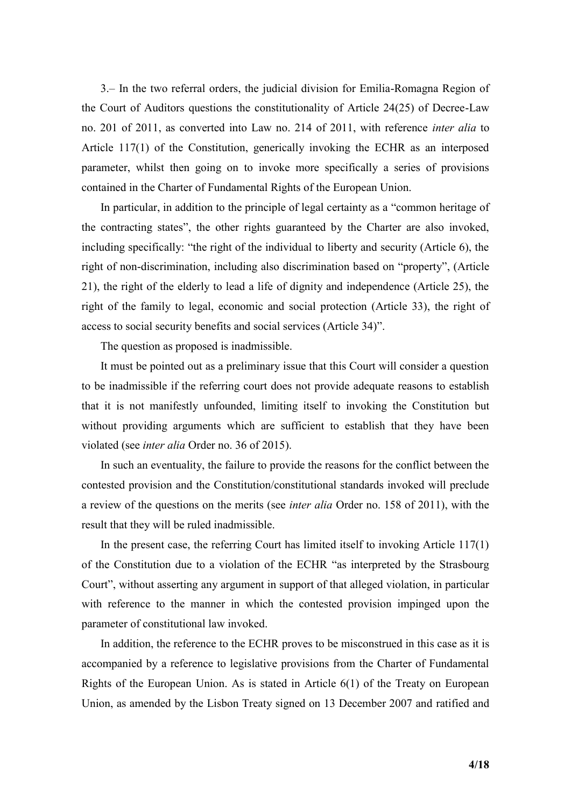3.– In the two referral orders, the judicial division for Emilia-Romagna Region of the Court of Auditors questions the constitutionality of Article 24(25) of Decree-Law no. 201 of 2011, as converted into Law no. 214 of 2011, with reference *inter alia* to Article 117(1) of the Constitution, generically invoking the ECHR as an interposed parameter, whilst then going on to invoke more specifically a series of provisions contained in the Charter of Fundamental Rights of the European Union.

In particular, in addition to the principle of legal certainty as a "common heritage of the contracting states", the other rights guaranteed by the Charter are also invoked, including specifically: "the right of the individual to liberty and security (Article 6), the right of non-discrimination, including also discrimination based on "property", (Article 21), the right of the elderly to lead a life of dignity and independence (Article 25), the right of the family to legal, economic and social protection (Article 33), the right of access to social security benefits and social services (Article 34)".

The question as proposed is inadmissible.

It must be pointed out as a preliminary issue that this Court will consider a question to be inadmissible if the referring court does not provide adequate reasons to establish that it is not manifestly unfounded, limiting itself to invoking the Constitution but without providing arguments which are sufficient to establish that they have been violated (see *inter alia* Order no. 36 of 2015).

In such an eventuality, the failure to provide the reasons for the conflict between the contested provision and the Constitution/constitutional standards invoked will preclude a review of the questions on the merits (see *inter alia* Order no. 158 of 2011), with the result that they will be ruled inadmissible.

In the present case, the referring Court has limited itself to invoking Article 117(1) of the Constitution due to a violation of the ECHR "as interpreted by the Strasbourg Court", without asserting any argument in support of that alleged violation, in particular with reference to the manner in which the contested provision impinged upon the parameter of constitutional law invoked.

In addition, the reference to the ECHR proves to be misconstrued in this case as it is accompanied by a reference to legislative provisions from the Charter of Fundamental Rights of the European Union. As is stated in Article 6(1) of the Treaty on European Union, as amended by the Lisbon Treaty signed on 13 December 2007 and ratified and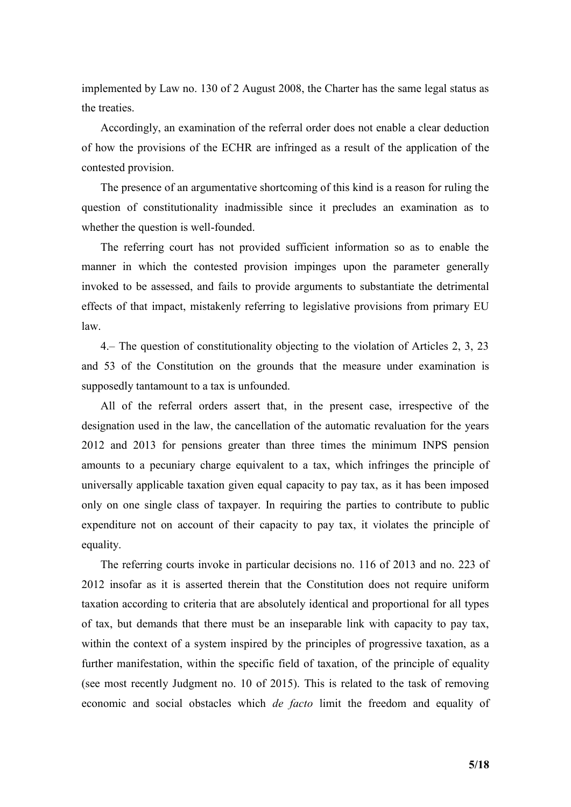implemented by Law no. 130 of 2 August 2008, the Charter has the same legal status as the treaties.

Accordingly, an examination of the referral order does not enable a clear deduction of how the provisions of the ECHR are infringed as a result of the application of the contested provision.

The presence of an argumentative shortcoming of this kind is a reason for ruling the question of constitutionality inadmissible since it precludes an examination as to whether the question is well-founded.

The referring court has not provided sufficient information so as to enable the manner in which the contested provision impinges upon the parameter generally invoked to be assessed, and fails to provide arguments to substantiate the detrimental effects of that impact, mistakenly referring to legislative provisions from primary EU law.

4.– The question of constitutionality objecting to the violation of Articles 2, 3, 23 and 53 of the Constitution on the grounds that the measure under examination is supposedly tantamount to a tax is unfounded.

All of the referral orders assert that, in the present case, irrespective of the designation used in the law, the cancellation of the automatic revaluation for the years 2012 and 2013 for pensions greater than three times the minimum INPS pension amounts to a pecuniary charge equivalent to a tax, which infringes the principle of universally applicable taxation given equal capacity to pay tax, as it has been imposed only on one single class of taxpayer. In requiring the parties to contribute to public expenditure not on account of their capacity to pay tax, it violates the principle of equality.

The referring courts invoke in particular decisions no. 116 of 2013 and no. 223 of 2012 insofar as it is asserted therein that the Constitution does not require uniform taxation according to criteria that are absolutely identical and proportional for all types of tax, but demands that there must be an inseparable link with capacity to pay tax, within the context of a system inspired by the principles of progressive taxation, as a further manifestation, within the specific field of taxation, of the principle of equality (see most recently Judgment no. 10 of 2015). This is related to the task of removing economic and social obstacles which *de facto* limit the freedom and equality of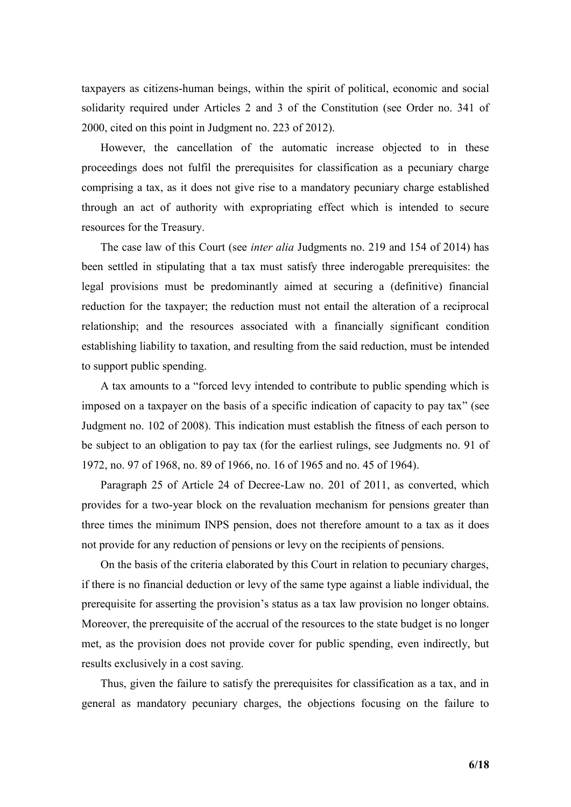taxpayers as citizens-human beings, within the spirit of political, economic and social solidarity required under Articles 2 and 3 of the Constitution (see Order no. 341 of 2000, cited on this point in Judgment no. 223 of 2012).

However, the cancellation of the automatic increase objected to in these proceedings does not fulfil the prerequisites for classification as a pecuniary charge comprising a tax, as it does not give rise to a mandatory pecuniary charge established through an act of authority with expropriating effect which is intended to secure resources for the Treasury.

The case law of this Court (see *inter alia* Judgments no. 219 and 154 of 2014) has been settled in stipulating that a tax must satisfy three inderogable prerequisites: the legal provisions must be predominantly aimed at securing a (definitive) financial reduction for the taxpayer; the reduction must not entail the alteration of a reciprocal relationship; and the resources associated with a financially significant condition establishing liability to taxation, and resulting from the said reduction, must be intended to support public spending.

A tax amounts to a "forced levy intended to contribute to public spending which is imposed on a taxpayer on the basis of a specific indication of capacity to pay tax" (see Judgment no. 102 of 2008). This indication must establish the fitness of each person to be subject to an obligation to pay tax (for the earliest rulings, see Judgments no. 91 of 1972, no. 97 of 1968, no. 89 of 1966, no. 16 of 1965 and no. 45 of 1964).

Paragraph 25 of Article 24 of Decree-Law no. 201 of 2011, as converted, which provides for a two-year block on the revaluation mechanism for pensions greater than three times the minimum INPS pension, does not therefore amount to a tax as it does not provide for any reduction of pensions or levy on the recipients of pensions.

On the basis of the criteria elaborated by this Court in relation to pecuniary charges, if there is no financial deduction or levy of the same type against a liable individual, the prerequisite for asserting the provision's status as a tax law provision no longer obtains. Moreover, the prerequisite of the accrual of the resources to the state budget is no longer met, as the provision does not provide cover for public spending, even indirectly, but results exclusively in a cost saving.

Thus, given the failure to satisfy the prerequisites for classification as a tax, and in general as mandatory pecuniary charges, the objections focusing on the failure to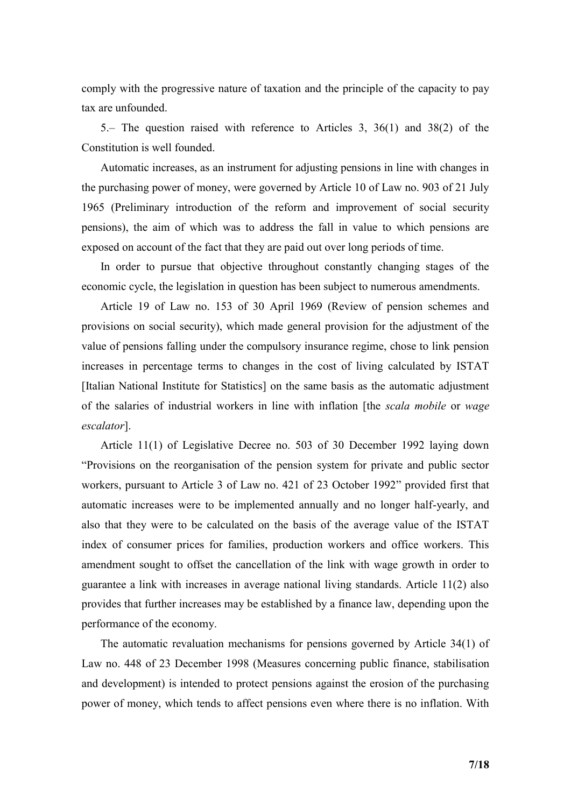comply with the progressive nature of taxation and the principle of the capacity to pay tax are unfounded.

5.– The question raised with reference to Articles 3, 36(1) and 38(2) of the Constitution is well founded.

Automatic increases, as an instrument for adjusting pensions in line with changes in the purchasing power of money, were governed by Article 10 of Law no. 903 of 21 July 1965 (Preliminary introduction of the reform and improvement of social security pensions), the aim of which was to address the fall in value to which pensions are exposed on account of the fact that they are paid out over long periods of time.

In order to pursue that objective throughout constantly changing stages of the economic cycle, the legislation in question has been subject to numerous amendments.

Article 19 of Law no. 153 of 30 April 1969 (Review of pension schemes and provisions on social security), which made general provision for the adjustment of the value of pensions falling under the compulsory insurance regime, chose to link pension increases in percentage terms to changes in the cost of living calculated by ISTAT [Italian National Institute for Statistics] on the same basis as the automatic adjustment of the salaries of industrial workers in line with inflation [the *scala mobile* or *wage escalator*].

Article 11(1) of Legislative Decree no. 503 of 30 December 1992 laying down "Provisions on the reorganisation of the pension system for private and public sector workers, pursuant to Article 3 of Law no. 421 of 23 October 1992" provided first that automatic increases were to be implemented annually and no longer half-yearly, and also that they were to be calculated on the basis of the average value of the ISTAT index of consumer prices for families, production workers and office workers. This amendment sought to offset the cancellation of the link with wage growth in order to guarantee a link with increases in average national living standards. Article 11(2) also provides that further increases may be established by a finance law, depending upon the performance of the economy.

The automatic revaluation mechanisms for pensions governed by Article 34(1) of Law no. 448 of 23 December 1998 (Measures concerning public finance, stabilisation and development) is intended to protect pensions against the erosion of the purchasing power of money, which tends to affect pensions even where there is no inflation. With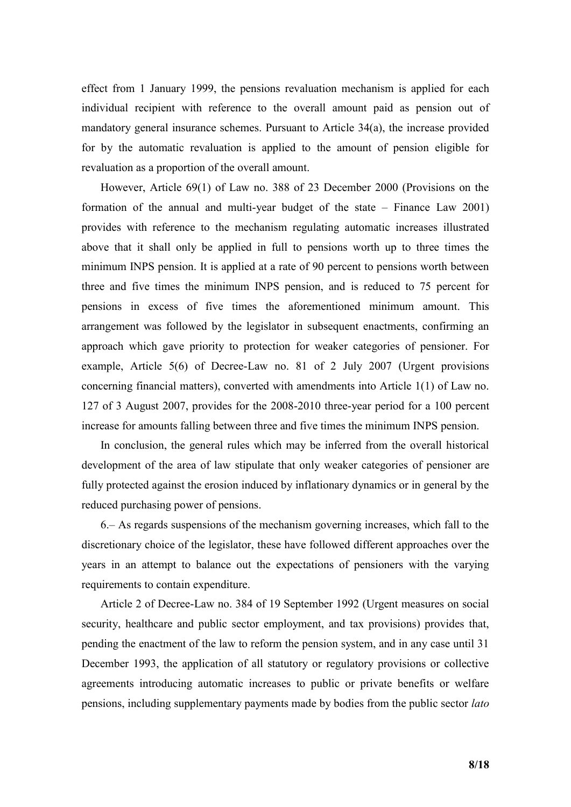effect from 1 January 1999, the pensions revaluation mechanism is applied for each individual recipient with reference to the overall amount paid as pension out of mandatory general insurance schemes. Pursuant to Article 34(a), the increase provided for by the automatic revaluation is applied to the amount of pension eligible for revaluation as a proportion of the overall amount.

However, Article 69(1) of Law no. 388 of 23 December 2000 (Provisions on the formation of the annual and multi-year budget of the state – Finance Law 2001) provides with reference to the mechanism regulating automatic increases illustrated above that it shall only be applied in full to pensions worth up to three times the minimum INPS pension. It is applied at a rate of 90 percent to pensions worth between three and five times the minimum INPS pension, and is reduced to 75 percent for pensions in excess of five times the aforementioned minimum amount. This arrangement was followed by the legislator in subsequent enactments, confirming an approach which gave priority to protection for weaker categories of pensioner. For example, Article 5(6) of Decree-Law no. 81 of 2 July 2007 (Urgent provisions concerning financial matters), converted with amendments into Article 1(1) of Law no. 127 of 3 August 2007, provides for the 2008-2010 three-year period for a 100 percent increase for amounts falling between three and five times the minimum INPS pension.

In conclusion, the general rules which may be inferred from the overall historical development of the area of law stipulate that only weaker categories of pensioner are fully protected against the erosion induced by inflationary dynamics or in general by the reduced purchasing power of pensions.

6.– As regards suspensions of the mechanism governing increases, which fall to the discretionary choice of the legislator, these have followed different approaches over the years in an attempt to balance out the expectations of pensioners with the varying requirements to contain expenditure.

Article 2 of Decree-Law no. 384 of 19 September 1992 (Urgent measures on social security, healthcare and public sector employment, and tax provisions) provides that, pending the enactment of the law to reform the pension system, and in any case until 31 December 1993, the application of all statutory or regulatory provisions or collective agreements introducing automatic increases to public or private benefits or welfare pensions, including supplementary payments made by bodies from the public sector *lato*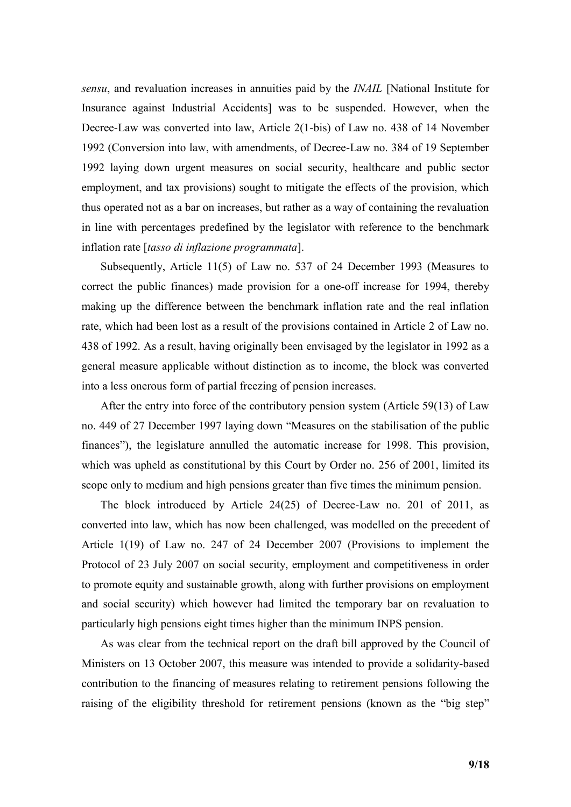*sensu*, and revaluation increases in annuities paid by the *INAIL* [National Institute for Insurance against Industrial Accidents] was to be suspended. However, when the Decree-Law was converted into law, Article 2(1-bis) of Law no. 438 of 14 November 1992 (Conversion into law, with amendments, of Decree-Law no. 384 of 19 September 1992 laying down urgent measures on social security, healthcare and public sector employment, and tax provisions) sought to mitigate the effects of the provision, which thus operated not as a bar on increases, but rather as a way of containing the revaluation in line with percentages predefined by the legislator with reference to the benchmark inflation rate [*tasso di inflazione programmata*].

Subsequently, Article 11(5) of Law no. 537 of 24 December 1993 (Measures to correct the public finances) made provision for a one-off increase for 1994, thereby making up the difference between the benchmark inflation rate and the real inflation rate, which had been lost as a result of the provisions contained in Article 2 of Law no. 438 of 1992. As a result, having originally been envisaged by the legislator in 1992 as a general measure applicable without distinction as to income, the block was converted into a less onerous form of partial freezing of pension increases.

After the entry into force of the contributory pension system (Article 59(13) of Law no. 449 of 27 December 1997 laying down "Measures on the stabilisation of the public finances"), the legislature annulled the automatic increase for 1998. This provision, which was upheld as constitutional by this Court by Order no. 256 of 2001, limited its scope only to medium and high pensions greater than five times the minimum pension.

The block introduced by Article 24(25) of Decree-Law no. 201 of 2011, as converted into law, which has now been challenged, was modelled on the precedent of Article 1(19) of Law no. 247 of 24 December 2007 (Provisions to implement the Protocol of 23 July 2007 on social security, employment and competitiveness in order to promote equity and sustainable growth, along with further provisions on employment and social security) which however had limited the temporary bar on revaluation to particularly high pensions eight times higher than the minimum INPS pension.

As was clear from the technical report on the draft bill approved by the Council of Ministers on 13 October 2007, this measure was intended to provide a solidarity-based contribution to the financing of measures relating to retirement pensions following the raising of the eligibility threshold for retirement pensions (known as the "big step"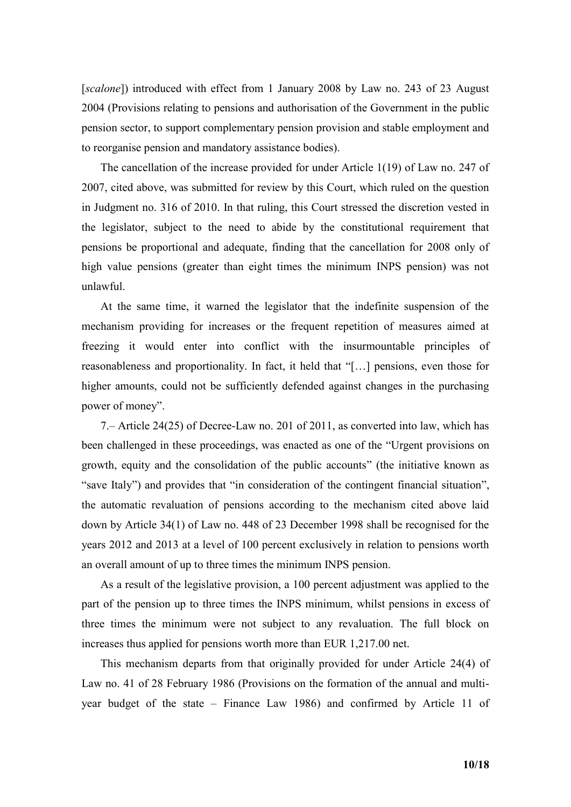[*scalone*]) introduced with effect from 1 January 2008 by Law no. 243 of 23 August 2004 (Provisions relating to pensions and authorisation of the Government in the public pension sector, to support complementary pension provision and stable employment and to reorganise pension and mandatory assistance bodies).

The cancellation of the increase provided for under Article 1(19) of Law no. 247 of 2007, cited above, was submitted for review by this Court, which ruled on the question in Judgment no. 316 of 2010. In that ruling, this Court stressed the discretion vested in the legislator, subject to the need to abide by the constitutional requirement that pensions be proportional and adequate, finding that the cancellation for 2008 only of high value pensions (greater than eight times the minimum INPS pension) was not unlawful.

At the same time, it warned the legislator that the indefinite suspension of the mechanism providing for increases or the frequent repetition of measures aimed at freezing it would enter into conflict with the insurmountable principles of reasonableness and proportionality. In fact, it held that "[…] pensions, even those for higher amounts, could not be sufficiently defended against changes in the purchasing power of money".

7.– Article 24(25) of Decree-Law no. 201 of 2011, as converted into law, which has been challenged in these proceedings, was enacted as one of the "Urgent provisions on growth, equity and the consolidation of the public accounts" (the initiative known as "save Italy") and provides that "in consideration of the contingent financial situation", the automatic revaluation of pensions according to the mechanism cited above laid down by Article 34(1) of Law no. 448 of 23 December 1998 shall be recognised for the years 2012 and 2013 at a level of 100 percent exclusively in relation to pensions worth an overall amount of up to three times the minimum INPS pension.

As a result of the legislative provision, a 100 percent adjustment was applied to the part of the pension up to three times the INPS minimum, whilst pensions in excess of three times the minimum were not subject to any revaluation. The full block on increases thus applied for pensions worth more than EUR 1,217.00 net.

This mechanism departs from that originally provided for under Article 24(4) of Law no. 41 of 28 February 1986 (Provisions on the formation of the annual and multiyear budget of the state – Finance Law 1986) and confirmed by Article 11 of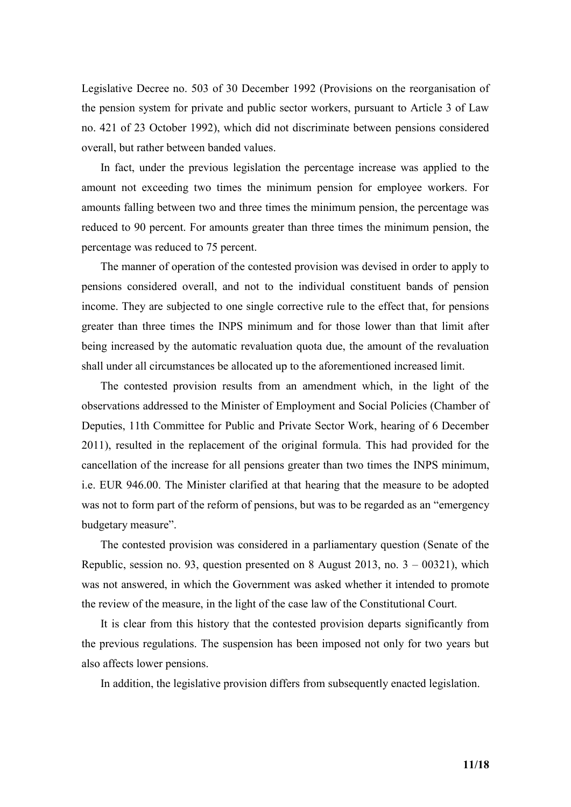Legislative Decree no. 503 of 30 December 1992 (Provisions on the reorganisation of the pension system for private and public sector workers, pursuant to Article 3 of Law no. 421 of 23 October 1992), which did not discriminate between pensions considered overall, but rather between banded values.

In fact, under the previous legislation the percentage increase was applied to the amount not exceeding two times the minimum pension for employee workers. For amounts falling between two and three times the minimum pension, the percentage was reduced to 90 percent. For amounts greater than three times the minimum pension, the percentage was reduced to 75 percent.

The manner of operation of the contested provision was devised in order to apply to pensions considered overall, and not to the individual constituent bands of pension income. They are subjected to one single corrective rule to the effect that, for pensions greater than three times the INPS minimum and for those lower than that limit after being increased by the automatic revaluation quota due, the amount of the revaluation shall under all circumstances be allocated up to the aforementioned increased limit.

The contested provision results from an amendment which, in the light of the observations addressed to the Minister of Employment and Social Policies (Chamber of Deputies, 11th Committee for Public and Private Sector Work, hearing of 6 December 2011), resulted in the replacement of the original formula. This had provided for the cancellation of the increase for all pensions greater than two times the INPS minimum, i.e. EUR 946.00. The Minister clarified at that hearing that the measure to be adopted was not to form part of the reform of pensions, but was to be regarded as an "emergency budgetary measure".

The contested provision was considered in a parliamentary question (Senate of the Republic, session no. 93, question presented on 8 August 2013, no. 3 – 00321), which was not answered, in which the Government was asked whether it intended to promote the review of the measure, in the light of the case law of the Constitutional Court.

It is clear from this history that the contested provision departs significantly from the previous regulations. The suspension has been imposed not only for two years but also affects lower pensions.

In addition, the legislative provision differs from subsequently enacted legislation.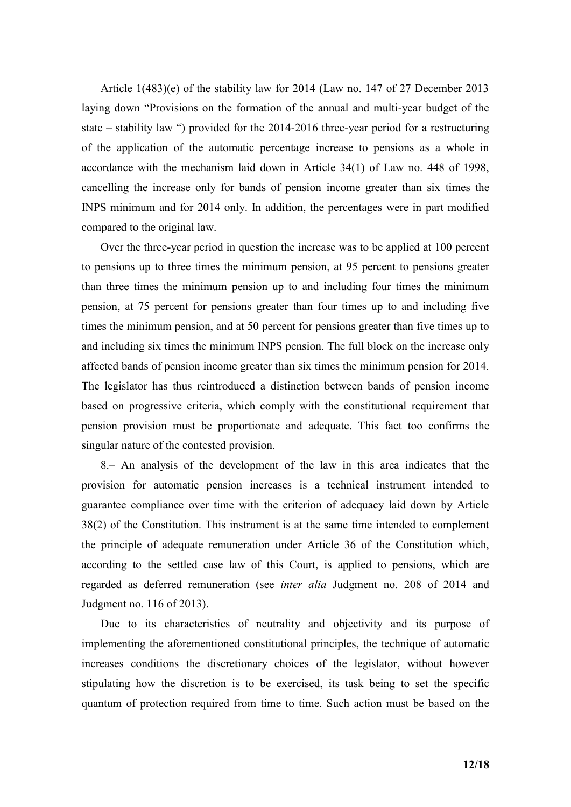Article 1(483)(e) of the stability law for 2014 (Law no. 147 of 27 December 2013 laying down "Provisions on the formation of the annual and multi-year budget of the state – stability law ") provided for the 2014-2016 three-year period for a restructuring of the application of the automatic percentage increase to pensions as a whole in accordance with the mechanism laid down in Article 34(1) of Law no. 448 of 1998, cancelling the increase only for bands of pension income greater than six times the INPS minimum and for 2014 only. In addition, the percentages were in part modified compared to the original law.

Over the three-year period in question the increase was to be applied at 100 percent to pensions up to three times the minimum pension, at 95 percent to pensions greater than three times the minimum pension up to and including four times the minimum pension, at 75 percent for pensions greater than four times up to and including five times the minimum pension, and at 50 percent for pensions greater than five times up to and including six times the minimum INPS pension. The full block on the increase only affected bands of pension income greater than six times the minimum pension for 2014. The legislator has thus reintroduced a distinction between bands of pension income based on progressive criteria, which comply with the constitutional requirement that pension provision must be proportionate and adequate. This fact too confirms the singular nature of the contested provision.

8.– An analysis of the development of the law in this area indicates that the provision for automatic pension increases is a technical instrument intended to guarantee compliance over time with the criterion of adequacy laid down by Article 38(2) of the Constitution. This instrument is at the same time intended to complement the principle of adequate remuneration under Article 36 of the Constitution which, according to the settled case law of this Court, is applied to pensions, which are regarded as deferred remuneration (see *inter alia* Judgment no. 208 of 2014 and Judgment no. 116 of 2013).

Due to its characteristics of neutrality and objectivity and its purpose of implementing the aforementioned constitutional principles, the technique of automatic increases conditions the discretionary choices of the legislator, without however stipulating how the discretion is to be exercised, its task being to set the specific quantum of protection required from time to time. Such action must be based on the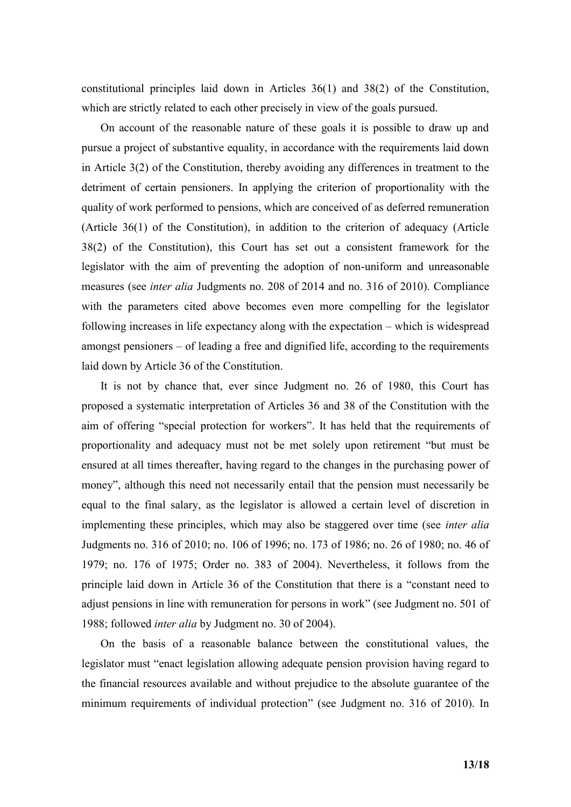constitutional principles laid down in Articles 36(1) and 38(2) of the Constitution, which are strictly related to each other precisely in view of the goals pursued.

On account of the reasonable nature of these goals it is possible to draw up and pursue a project of substantive equality, in accordance with the requirements laid down in Article 3(2) of the Constitution, thereby avoiding any differences in treatment to the detriment of certain pensioners. In applying the criterion of proportionality with the quality of work performed to pensions, which are conceived of as deferred remuneration (Article 36(1) of the Constitution), in addition to the criterion of adequacy (Article 38(2) of the Constitution), this Court has set out a consistent framework for the legislator with the aim of preventing the adoption of non-uniform and unreasonable measures (see *inter alia* Judgments no. 208 of 2014 and no. 316 of 2010). Compliance with the parameters cited above becomes even more compelling for the legislator following increases in life expectancy along with the expectation – which is widespread amongst pensioners – of leading a free and dignified life, according to the requirements laid down by Article 36 of the Constitution.

It is not by chance that, ever since Judgment no. 26 of 1980, this Court has proposed a systematic interpretation of Articles 36 and 38 of the Constitution with the aim of offering "special protection for workers". It has held that the requirements of proportionality and adequacy must not be met solely upon retirement "but must be ensured at all times thereafter, having regard to the changes in the purchasing power of money", although this need not necessarily entail that the pension must necessarily be equal to the final salary, as the legislator is allowed a certain level of discretion in implementing these principles, which may also be staggered over time (see *inter alia* Judgments no. 316 of 2010; no. 106 of 1996; no. 173 of 1986; no. 26 of 1980; no. 46 of 1979; no. 176 of 1975; Order no. 383 of 2004). Nevertheless, it follows from the principle laid down in Article 36 of the Constitution that there is a "constant need to adjust pensions in line with remuneration for persons in work" (see Judgment no. 501 of 1988; followed *inter alia* by Judgment no. 30 of 2004).

On the basis of a reasonable balance between the constitutional values, the legislator must "enact legislation allowing adequate pension provision having regard to the financial resources available and without prejudice to the absolute guarantee of the minimum requirements of individual protection" (see Judgment no. 316 of 2010). In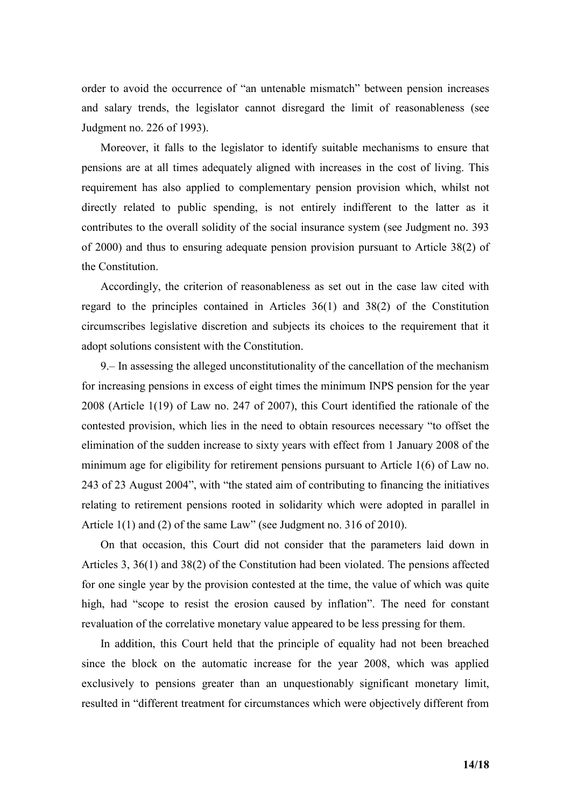order to avoid the occurrence of "an untenable mismatch" between pension increases and salary trends, the legislator cannot disregard the limit of reasonableness (see Judgment no. 226 of 1993).

Moreover, it falls to the legislator to identify suitable mechanisms to ensure that pensions are at all times adequately aligned with increases in the cost of living. This requirement has also applied to complementary pension provision which, whilst not directly related to public spending, is not entirely indifferent to the latter as it contributes to the overall solidity of the social insurance system (see Judgment no. 393 of 2000) and thus to ensuring adequate pension provision pursuant to Article 38(2) of the Constitution.

Accordingly, the criterion of reasonableness as set out in the case law cited with regard to the principles contained in Articles 36(1) and 38(2) of the Constitution circumscribes legislative discretion and subjects its choices to the requirement that it adopt solutions consistent with the Constitution.

9.– In assessing the alleged unconstitutionality of the cancellation of the mechanism for increasing pensions in excess of eight times the minimum INPS pension for the year 2008 (Article 1(19) of Law no. 247 of 2007), this Court identified the rationale of the contested provision, which lies in the need to obtain resources necessary "to offset the elimination of the sudden increase to sixty years with effect from 1 January 2008 of the minimum age for eligibility for retirement pensions pursuant to Article 1(6) of Law no. 243 of 23 August 2004", with "the stated aim of contributing to financing the initiatives relating to retirement pensions rooted in solidarity which were adopted in parallel in Article 1(1) and (2) of the same Law" (see Judgment no. 316 of 2010).

On that occasion, this Court did not consider that the parameters laid down in Articles 3, 36(1) and 38(2) of the Constitution had been violated. The pensions affected for one single year by the provision contested at the time, the value of which was quite high, had "scope to resist the erosion caused by inflation". The need for constant revaluation of the correlative monetary value appeared to be less pressing for them.

In addition, this Court held that the principle of equality had not been breached since the block on the automatic increase for the year 2008, which was applied exclusively to pensions greater than an unquestionably significant monetary limit, resulted in "different treatment for circumstances which were objectively different from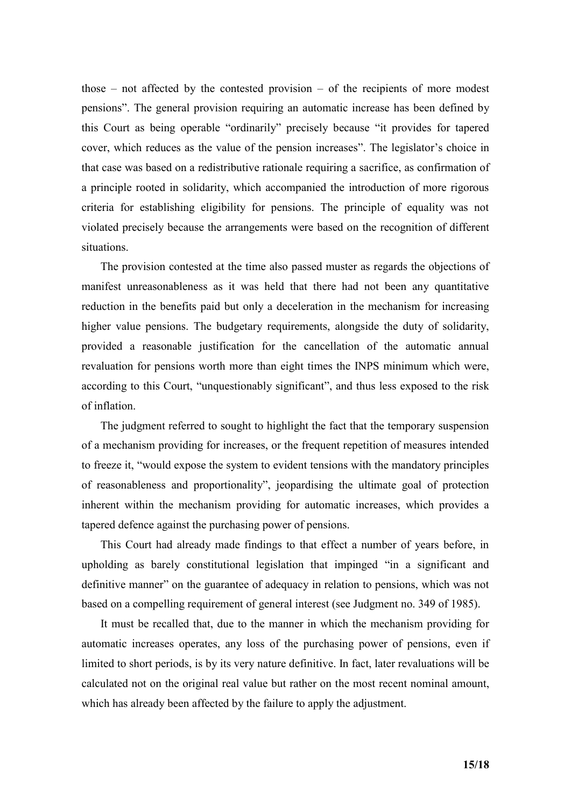those  $-$  not affected by the contested provision  $-$  of the recipients of more modest pensions". The general provision requiring an automatic increase has been defined by this Court as being operable "ordinarily" precisely because "it provides for tapered cover, which reduces as the value of the pension increases". The legislator's choice in that case was based on a redistributive rationale requiring a sacrifice, as confirmation of a principle rooted in solidarity, which accompanied the introduction of more rigorous criteria for establishing eligibility for pensions. The principle of equality was not violated precisely because the arrangements were based on the recognition of different situations.

The provision contested at the time also passed muster as regards the objections of manifest unreasonableness as it was held that there had not been any quantitative reduction in the benefits paid but only a deceleration in the mechanism for increasing higher value pensions. The budgetary requirements, alongside the duty of solidarity, provided a reasonable justification for the cancellation of the automatic annual revaluation for pensions worth more than eight times the INPS minimum which were, according to this Court, "unquestionably significant", and thus less exposed to the risk of inflation.

The judgment referred to sought to highlight the fact that the temporary suspension of a mechanism providing for increases, or the frequent repetition of measures intended to freeze it, "would expose the system to evident tensions with the mandatory principles of reasonableness and proportionality", jeopardising the ultimate goal of protection inherent within the mechanism providing for automatic increases, which provides a tapered defence against the purchasing power of pensions.

This Court had already made findings to that effect a number of years before, in upholding as barely constitutional legislation that impinged "in a significant and definitive manner" on the guarantee of adequacy in relation to pensions, which was not based on a compelling requirement of general interest (see Judgment no. 349 of 1985).

It must be recalled that, due to the manner in which the mechanism providing for automatic increases operates, any loss of the purchasing power of pensions, even if limited to short periods, is by its very nature definitive. In fact, later revaluations will be calculated not on the original real value but rather on the most recent nominal amount, which has already been affected by the failure to apply the adjustment.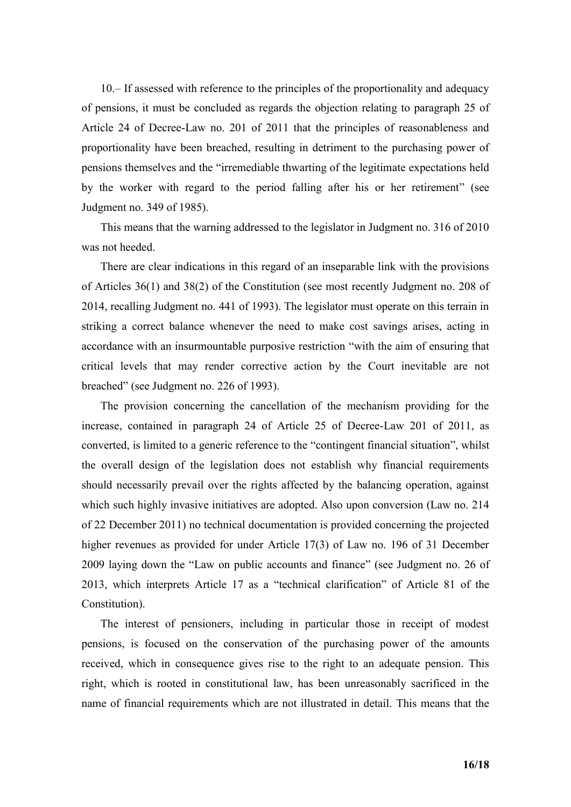10.– If assessed with reference to the principles of the proportionality and adequacy of pensions, it must be concluded as regards the objection relating to paragraph 25 of Article 24 of Decree-Law no. 201 of 2011 that the principles of reasonableness and proportionality have been breached, resulting in detriment to the purchasing power of pensions themselves and the "irremediable thwarting of the legitimate expectations held by the worker with regard to the period falling after his or her retirement" (see Judgment no. 349 of 1985).

This means that the warning addressed to the legislator in Judgment no. 316 of 2010 was not heeded.

There are clear indications in this regard of an inseparable link with the provisions of Articles 36(1) and 38(2) of the Constitution (see most recently Judgment no. 208 of 2014, recalling Judgment no. 441 of 1993). The legislator must operate on this terrain in striking a correct balance whenever the need to make cost savings arises, acting in accordance with an insurmountable purposive restriction "with the aim of ensuring that critical levels that may render corrective action by the Court inevitable are not breached" (see Judgment no. 226 of 1993).

The provision concerning the cancellation of the mechanism providing for the increase, contained in paragraph 24 of Article 25 of Decree-Law 201 of 2011, as converted, is limited to a generic reference to the "contingent financial situation", whilst the overall design of the legislation does not establish why financial requirements should necessarily prevail over the rights affected by the balancing operation, against which such highly invasive initiatives are adopted. Also upon conversion (Law no. 214 of 22 December 2011) no technical documentation is provided concerning the projected higher revenues as provided for under Article 17(3) of Law no. 196 of 31 December 2009 laying down the "Law on public accounts and finance" (see Judgment no. 26 of 2013, which interprets Article 17 as a "technical clarification" of Article 81 of the Constitution).

The interest of pensioners, including in particular those in receipt of modest pensions, is focused on the conservation of the purchasing power of the amounts received, which in consequence gives rise to the right to an adequate pension. This right, which is rooted in constitutional law, has been unreasonably sacrificed in the name of financial requirements which are not illustrated in detail. This means that the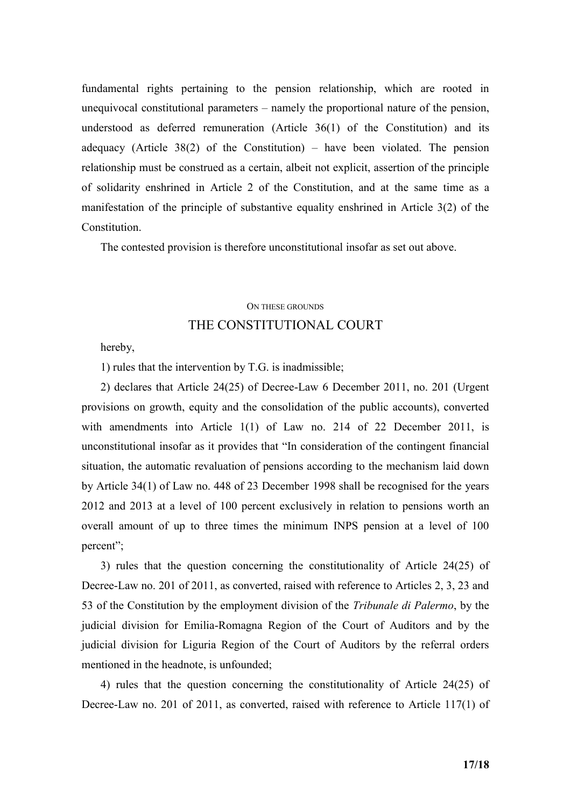fundamental rights pertaining to the pension relationship, which are rooted in unequivocal constitutional parameters – namely the proportional nature of the pension, understood as deferred remuneration (Article 36(1) of the Constitution) and its adequacy (Article 38(2) of the Constitution) – have been violated. The pension relationship must be construed as a certain, albeit not explicit, assertion of the principle of solidarity enshrined in Article 2 of the Constitution, and at the same time as a manifestation of the principle of substantive equality enshrined in Article 3(2) of the **Constitution** 

The contested provision is therefore unconstitutional insofar as set out above.

# ON THESE GROUNDS

## THE CONSTITUTIONAL COURT

hereby,

1) rules that the intervention by T.G. is inadmissible;

2) declares that Article 24(25) of Decree-Law 6 December 2011, no. 201 (Urgent provisions on growth, equity and the consolidation of the public accounts), converted with amendments into Article 1(1) of Law no. 214 of 22 December 2011, is unconstitutional insofar as it provides that "In consideration of the contingent financial situation, the automatic revaluation of pensions according to the mechanism laid down by Article 34(1) of Law no. 448 of 23 December 1998 shall be recognised for the years 2012 and 2013 at a level of 100 percent exclusively in relation to pensions worth an overall amount of up to three times the minimum INPS pension at a level of 100 percent";

3) rules that the question concerning the constitutionality of Article 24(25) of Decree-Law no. 201 of 2011, as converted, raised with reference to Articles 2, 3, 23 and 53 of the Constitution by the employment division of the *Tribunale di Palermo*, by the judicial division for Emilia-Romagna Region of the Court of Auditors and by the judicial division for Liguria Region of the Court of Auditors by the referral orders mentioned in the headnote, is unfounded;

4) rules that the question concerning the constitutionality of Article 24(25) of Decree-Law no. 201 of 2011, as converted, raised with reference to Article 117(1) of